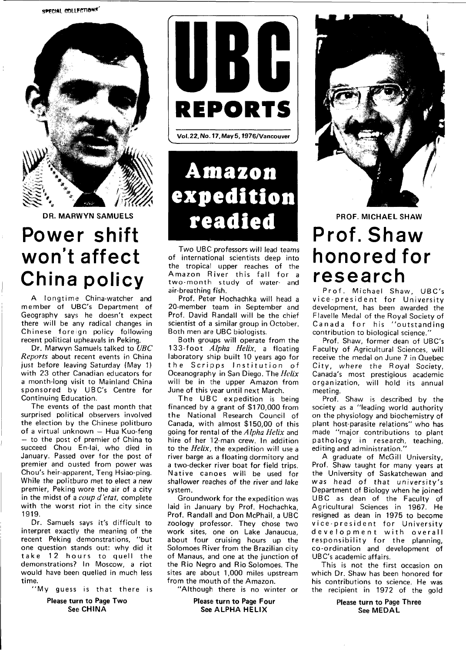

**DR. MARWYN SAMUELS** 

## **Power shift won't affect China policy**

A longtime China-watcher and member of UBC's Department of Geography says he doesn't expect there will be any radical changes in Chinese foreign policy following recent political upheavals in Peking.

Dr. Marwyn Samuels talked to UBC Reports about recent events in China just before leaving Saturday (May 1) with 23 other Canadian educators for a month-long visit to Mainland China sponsored by UBC's Centre for Continuing Education.

The events of the past month that surprised political observers involved the election by the Chinese politburo of a virtual unknown — Hua Kuo-feng — to the post of premier of China to succeed Chou En-lai, who died in January. Passed over for the post of premier and ousted from power was Chou's heir-apparent, Teng Hsiao-ping. While the politburo met to elect a new premier, Peking wore the air of a city in the midst of a coup d'etat, complete with the worst riot in the city since 1919.

Dr. Samuels says it's difficult to interpret exactly the meaning of the recent Peking demonstrations, "but one question stands out: why did it take 12 hours to quell the demonstrations? In Moscow, a riot would have been quelled in much less time.

"My guess is that there is

**Please turn to Page Two See CHINA** 



**Amazon expedition readied** 

Two UBC professors will lead teams of international scientists deep into the tropical upper reaches of the Amazon River this fall for a two-month study of water- and air-breathing fish.

Prof. Peter Hochachka will head a 20-member team in September and Prof. David Randall will be the chief scientist of a similar group in October. Both men are UBC biologists.

Both groups will operate from the 133-foot Alpha Helix, a floating laboratory ship built 10 years ago for the Scripps Institution of Oceanography in San Diego. The Helix will be in the upper Amazon from June of this year until next March.

The UBC expedition is being financed by a grant of \$170,000 from the National Research Council of Canada, with almost \$150,00 of this going for rental of the Alpha Helix and hire of her 12-man crew. In addition to the Helix, the expedition will use a river barge as a floating dormitory and a two-decker river boat for field trips. Native canoes will be used for shallower reaches of the river and lake system.

Groundwork for the expedition was laid in January by Prof. Hochachka, Prof. Randall and Don McPhail, a UBC zoology professor. They chose two work sites, one on Lake Janaucua, about four cruising hours up the Solomoes River from the Brazilian city of Manaus, and one at the junction of the Rio Negro and Rio Solomoes. The sites are about 1,000 miles upstream from the mouth of the Amazon.

"Although there is no winter or

**Please turn to Page Four See ALPHA HELIX** 



**PROF. MICHAEL SHAW** 

## **Prof. Shaw honored for research**

Prof. Michael Shaw, UBC's vice-president for University development, has been awarded the Flavelle Medal of the Royal Society of Canada for his "outstanding contribution to biological science."

Prof. Shaw, former dean of UBC's Faculty of Agricultural Sciences, will receive the medal on June 7 in Quebec City, where the Royal Society, Canada's most prestigious academic organization, will hold its annual meeting.

Prof. Shaw is described by the society as a "leading world authority on the physiology and biochemistry of plant host-parasite relations" who has made "major contributions to plant pathology in research, teaching, editing and administration."

A graduate of McGill University, Prof. Shaw taught for many years at the University of Saskatchewan and was head of that university's Department of Biology when he joined UBC as dean of the Faculty of Agricultural Sciences in 1967. He resigned as dean in 1975 to become vice-president for University development with overall responsibility for the planning, co-ordination and development of UBC's academic affairs.

This is not the first occasion on which Dr. Shaw has been honored for his contributions to science. He was the recipient in 1972 of the gold

> **Please turn to Page Three See MEDAL**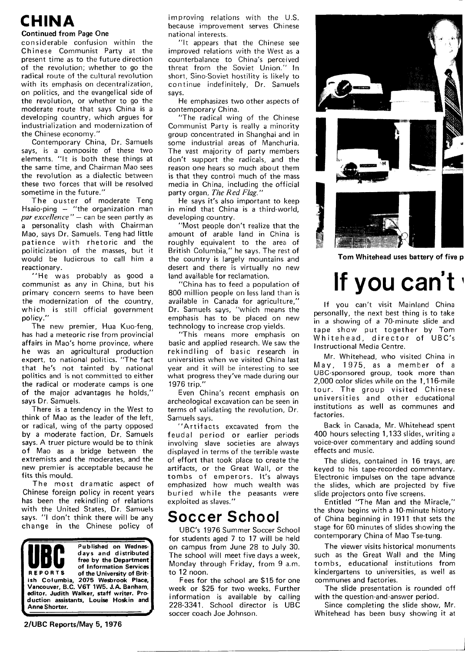## **CHINA**

#### **Continued from Page One**

considerable confusion within the Chinese Communist Party at the present time as to the future direction of the revolution; whether to go the radical route of the cultural revolution with its emphasis on decentralization, on politics, and the evangelical side of the revolution, or whether to go the moderate route that says China is a developing country, which argues for industrialization and modernization of the Chinese economy."

Contemporary China, Dr. Samuels says, is a composite of these two elements. "It is both these things at the same time, and Chairman Mao sees the revolution as a dialectic between these two forces that will be resolved sometime in the future."

The ouster of moderate Teng Hsaio-ping — "the organization man *par excellence* " — can be seen partly as a personality clash with Chairman Mao, says Dr. Samuels. Teng had little patience with rhetoric and the politicization of the masses, but it would be ludicrous to call him a reactionary.

"He was probably as good a communist as any in China, but his primary concern seems to have been the modernization of the country, which is still official government policy."

The new premier, Hua Kuo-feng, has had a meteoric rise from provincial affairs in Mao's home province, where he was an agricultural production expert, to national politics. "The fact that he's not tainted by national politics and is not committed to either the radical or moderate camps is one of the major advantages he holds," says Dr. Samuels.

There is a tendency in the West to think of Mao as the leader of the left, or radical, wing of the party opposed by a moderate faction, Dr. Samuels says. A truer picture would be to think of Mao as a bridge between the extremists and the moderates, and the new premier is acceptable because he fits this mould.

The most dramatic aspect of Chinese foreign policy in recent years has been the rekindling of relations with the United States, Dr. Samuels says. "I don't think there will be any change in the Chinese policy of

![](_page_1_Picture_9.jpeg)

improving relations with the U.S. because improvement serves Chinese national interests.

"It appears that the Chinese see improved relations with the West as a counterbalance to China's perceived threat from the Soviet Union." In short, Sino-Soviet hostility is likely to continue indefinitely. Dr. Samuels says.

He emphasizes two other aspects of contemporary China.

"The radical wing of the Chinese Communist Party is really a minority group concentrated in Shanghai and in some industrial areas of Manchuria. The vast majority of party members don't support the radicals, and the reason one hears so much about them is that they control much of the mass media in China, including the official party organ, The Red Flag."

He says it's also important to keep in mind that China is a third-world, developing country.

"Most people don't realize that the amount of arable land in China is roughly equivalent to the area of British Columbia," he says. The rest of the country is largely mountains and desert and there is virtually no new land available for reclamation.

"China has to feed a population of 800 million people on less land than is available in Canada for agriculture," Dr. Samuels says, "which means the emphasis has to be placed on new technology to increase crop yields.

"This means more emphasis on basic and applied research. We saw the rekindling of basic research in universities when we visited China last year and it will be interesting to see what progress they've made during our 1976 trip."

Even China's recent emphasis on archeological excavation can be seen in terms of validating the revolution. Dr. Samuels says.

"Artifacts excavated from the feudal period or earlier periods involving slave societies are always displayed in terms of the terrible waste of effort that took place to create the artifacts, or the Great Wall, or the tombs of emperors. It's always emphasized how much wealth was buried while the peasants were exploited as slaves."

#### **Soccer School**

UBC's 1976 Summer Soccer School for students aged 7 to 17 will be held on campus from June 28 to July 30. The school will meet five days a week, Monday through Friday, from 9 a.m. to 12 noon.

Fees for the school are \$15 for one week or \$25 for two weeks. Further information is available by calling 228-3341. School director is UBC soccer coach Joe Johnson.

![](_page_1_Picture_24.jpeg)

**Tom Whitehead uses battery of five p** 

# **If you can't'**

If you can't visit Mainland China personally, the next best thing is to take in a showing of a 70-minute slide and tape show put together by Tom Whitehead, director of UBC's Instructional Media Centre.

Mr. Whitehead, who visited China in May, 1975, as a member of a UBC-sponsored group, took more than 2,000 color slides while on the 1,116-mile tour. The group visited Chinese universities and other educational institutions as well as communes and factories.

Back in Canada, Mr. Whitehead spent 400 hours selecting 1,133 slides, writing a voice-over commentary and adding sound effects and music.

The slides, contained in 16 trays, are keyed to his tape-recorded commentary. Electronic impulses on the tape advance the slides, which are projected by five slide projectors onto five screens.

Entitled "The Man and the Miracle," the show begins with a 10-minute history of China beginning in 1911 that sets the stage for 60 minutes of slides showing the contemporary China of Mao Tse-tung.

The viewer visits historical monuments such as the Great Wall and the Ming tombs, educational institutions from kindergartens to universities, as well as communes and factories.

The slide presentation is rounded off with the question-and-answer period.

Since completing the slide show, Mr. Whitehead has been busy showing it at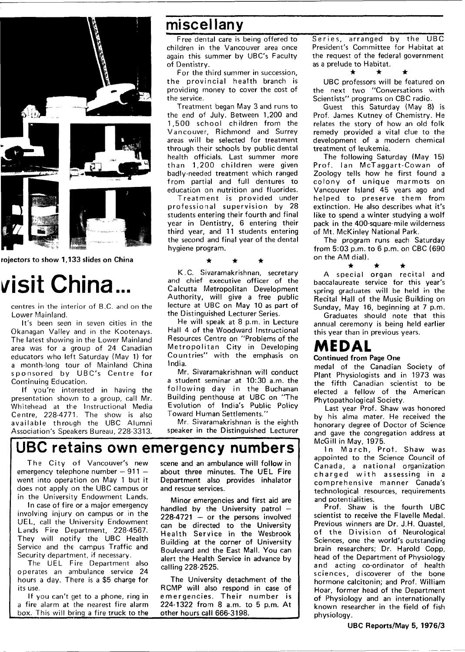![](_page_2_Picture_0.jpeg)

![](_page_2_Figure_1.jpeg)

## **visit China**

centres in the interior of B.C. and on the Lower Mainland.

It's been seen in seven cities in the Okanagan Valley and in the Kootenays, The latest showing in the Lower Mainland area was for a group of 24 Canadian educators who left Saturday (May 1) for a month-long tour of Mainland China sponsored by UBC's Centre for Continuing Education.

If you're interested in having the presentation shown to a group, call Mr. Whitehead at the Instructional Media Centre, 228-4771. The show is also available through the UBC Alumni Association's Speakers Bureau, 228-3313.

#### **miscellany**

Free dental care is being offered to children in the Vancouver area once again this summer by UBC's Faculty of Dentistry.

For the third summer in succession, the provincial health branch is providing money to cover the cost of the service.

Treatment began May 3 and runs to the end of July. Between 1,200 and 1,500 school children from the Vancouver, Richmond and Surrey areas will be selected for treatment through their schools by public dental health officials. Last summer more than 1,200 children were given badly-needed treatment which ranged from partial and full dentures to education on nutrition and fluorides.

Treatment is provided under professional supervision by 28 students entering their fourth and final year in Dentistry, 6 entering their third year, and 11 students entering the second and final year of the dental hygiene program.

K.C. Sivaramakrishnan, secretary and chief executive officer of the Calcutta Metropolitan Development Authority, will give a free public lecture at UBC on May 10 as part of the Distinguished Lecturer Series.

He will speak at 8 p.m. in Lecture Hall 4 of the Woodward Instructional Resources Centre on "Problems of the Metropolitan City in Developing Countries" with the emphasis on India.

Mr. Sivaramakrishnan will conduct a student seminar at 10:30 a.m. the following day in the Buchanan Building penthouse at UBC on "The Evolution of India's Public Policy Toward Human Settlements."

Mr. Sivaramakrishnan is the eighth speaker in the Distinguished Lecturer

#### **UBC retains own emergency numbers**

The City of Vancouver's new emergency telephone number — 911 went into operation on May 1 but it does not apply on the UBC campus or in the University Endowment Lands.

In case of fire or a major emergency involving injury on campus or in the UEL, call the University Endowment Lands Fire Department, 228-4567. They will notify the UBC Health Service and the campus Traffic and Security department, if necessary.

The UEL Fire Department also operates an ambulance service 24 hours a day. There is a \$5 charge for its use.

If you can't get to a phone, ring in a fire alarm at the nearest fire alarm box. This will bring a fire truck to the

scene and an ambulance will follow in about three minutes. The UEL Fire Department also provides inhalator and rescue services.

Minor emergencies and first aid are handled by the University patrol — 228-4721 — or the persons involved can be directed to the University Health Service in the Wesbrook Building at the corner of University Boulevard and the East Mall. You can alert the Health Service in advance by calling 228-2525.

The University detachment of the RCMP will also respond in case of emergencies. Their number is 224-1322 from 8 a.m. to 5 p.m. At other hours call 666-3198.

Series, arranged by the UBC President's Committee for Habitat at the request of the federal government as a prelude to Habitat.

#### • • •

UBC professors will be featured on the next two "Conversations with Scientists" programs on CBC radio.

Guest this Saturday (May 8) is Prof. James Kutney of Chemistry. He relates the story of how an old folk remedy provided a vital clue to the development of a modern chemical treatment of leukemia.

The following Saturday (May 15) Prof. Ian McTaggart-Cowan of Zoology tells how he first found a colony of unique marmots on Vancouver Island 45 years ago and helped to preserve them from extinction. He also describes what it's like to spend a winter studying a wolf pack in the 400-square-mile wilderness of Mt. McKinley National Park.

The program runs each Saturday from 5:03 p.m. to 6 p.m. on CBC (690 on the AM dial).

• • • A special organ recital and baccalaureate service for this year's spring graduates will be held in the Recital Hall of the Music Building on Sunday, May 16, beginning at 7 p.m.

Graduates should note that this annual ceremony is being held earlier this year than in previous years.

### **MEDAL**

**Continued from Page One** 

medal of the Canadian Society of Plant Physiologists and in 1973 was the fifth Canadian scientist to be elected a fellow of the American Phytopathological Society.

Last year Prof. Shaw was honored by his alma mater. He received the honorary degree of Doctor of Science and gave the congregation address at McGill in May, 1975.

In March, Prof. Shaw was appointed to the Science Council of Canada, a national organization charged with assessing in a comprehensive manner Canada's technological resources, requirements and potentialities.

Prof. Shaw is the fourth UBC scientist to receive the Flavelle Medal. Previous winners are Dr. J.H. Quastel, of the Division of Neurological Sciences, one the world's outstanding brain researchers; Dr. Harold Copp, head of the Department of Physiology and acting co-ordinator of health sciences, discoverer of the bone hormone calcitonin; and Prof. William Hoar, former head of the Department of Physiology and an internationally known researcher in the field of fish physiology.